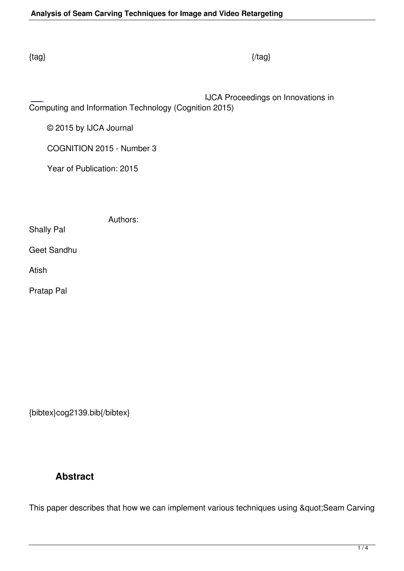IJCA Proceedings on Innovations in Computing and Information Technology (Cognition 2015)

© 2015 by IJCA Journal

COGNITION 2015 - Number 3

Year of Publication: 2015

 Authors: Shally Pal Geet Sandhu

Atish

Pratap Pal

{bibtex}cog2139.bib{/bibtex}

## **Abstract**

This paper describes that how we can implement various techniques using "Seam Carving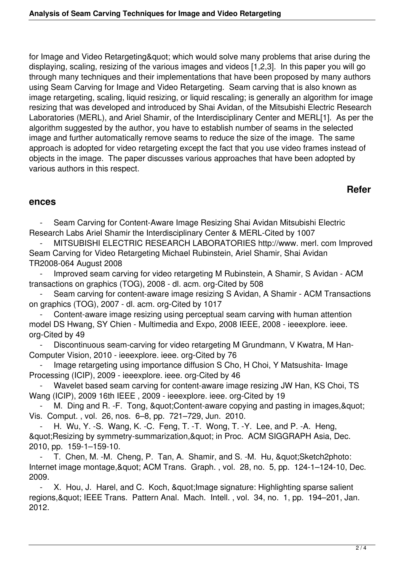for Image and Video Retargeting & quot; which would solve many problems that arise during the displaying, scaling, resizing of the various images and videos [1,2,3]. In this paper you will go through many techniques and their implementations that have been proposed by many authors using Seam Carving for Image and Video Retargeting. Seam carving that is also known as image retargeting, scaling, liquid resizing, or liquid rescaling; is generally an algorithm for image resizing that was developed and introduced by Shai Avidan, of the Mitsubishi Electric Research Laboratories (MERL), and Ariel Shamir, of the Interdisciplinary Center and MERL[1]. As per the algorithm suggested by the author, you have to establish number of seams in the selected image and further automatically remove seams to reduce the size of the image. The same approach is adopted for video retargeting except the fact that you use video frames instead of objects in the image. The paper discusses various approaches that have been adopted by various authors in this respect.

## **Refer**

## **ences**

Seam Carving for Content-Aware Image Resizing Shai Avidan Mitsubishi Electric Research Labs Ariel Shamir the Interdisciplinary Center & MERL-Cited by 1007

 - MITSUBISHI ELECTRIC RESEARCH LABORATORIES http://www. merl. com Improved Seam Carving for Video Retargeting Michael Rubinstein, Ariel Shamir, Shai Avidan TR2008-064 August 2008

Improved seam carving for video retargeting M Rubinstein, A Shamir, S Avidan - ACM transactions on graphics (TOG), 2008 - dl. acm. org-Cited by 508

 - Seam carving for content-aware image resizing S Avidan, A Shamir - ACM Transactions on graphics (TOG), 2007 - dl. acm. org-Cited by 1017

Content-aware image resizing using perceptual seam carving with human attention model DS Hwang, SY Chien - Multimedia and Expo, 2008 IEEE, 2008 - ieeexplore. ieee. org-Cited by 49

 - Discontinuous seam-carving for video retargeting M Grundmann, V Kwatra, M Han-Computer Vision, 2010 - ieeexplore. ieee. org-Cited by 76

Image retargeting using importance diffusion S Cho, H Choi, Y Matsushita- Image Processing (ICIP), 2009 - ieeexplore. ieee. org-Cited by 46

Wavelet based seam carving for content-aware image resizing JW Han, KS Choi, TS Wang (ICIP), 2009 16th IEEE , 2009 - ieeexplore. ieee. org-Cited by 19

M. Ding and R. -F. Tong, & quot; Content-aware copying and pasting in images, & quot; Vis. Comput. , vol. 26, nos. 6–8, pp. 721–729, Jun. 2010.

H. Wu, Y. -S. Wang, K. -C. Feng, T. -T. Wong, T. -Y. Lee, and P. -A. Heng, & auot: Resizing by symmetry-summarization, & quot; in Proc. ACM SIGGRAPH Asia, Dec. 2010, pp. 159-1–159-10.

T. Chen, M. -M. Cheng, P. Tan, A. Shamir, and S. -M. Hu, " Sketch 2photo: Internet image montage, & quot; ACM Trans. Graph., vol. 28, no. 5, pp. 124-1-124-10, Dec. 2009.

X. Hou, J. Harel, and C. Koch, & auot; Image signature: Highlighting sparse salient regions, & quot; IEEE Trans. Pattern Anal. Mach. Intell., vol. 34, no. 1, pp. 194–201, Jan. 2012.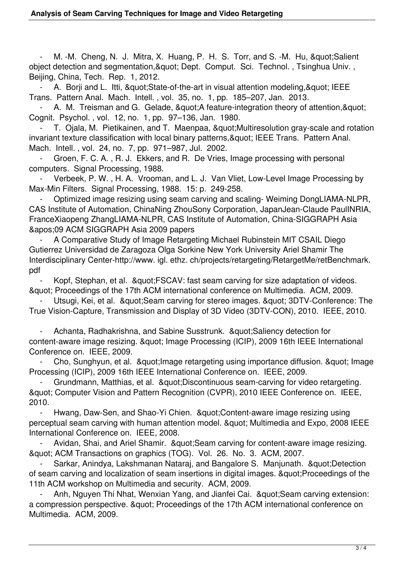M. -M. Cheng, N. J. Mitra, X. Huang, P. H. S. Torr, and S. -M. Hu. & auot: Salient object detection and segmentation, & quot; Dept. Comput. Sci. Technol., Tsinghua Univ., Beijing, China, Tech. Rep. 1, 2012.

A. Borii and L. Itti, & quot: State-of-the-art in visual attention modeling, & quot: IEEE Trans. Pattern Anal. Mach. Intell. , vol. 35, no. 1, pp. 185–207, Jan. 2013.

A. M. Treisman and G. Gelade, " A feature-integration theory of attention, & quot; Cognit. Psychol. , vol. 12, no. 1, pp. 97–136, Jan. 1980.

T. Ojala, M. Pietikainen, and T. Maenpaa, "Multiresolution gray-scale and rotation invariant texture classification with local binary patterns, & quot; IEEE Trans. Pattern Anal. Mach. Intell. , vol. 24, no. 7, pp. 971–987, Jul. 2002.

Groen, F. C. A., R. J. Ekkers, and R. De Vries, Image processing with personal computers. Signal Processing, 1988.

Verbeek, P. W., H. A. Vrooman, and L. J. Van Vliet, Low-Level Image Processing by Max-Min Filters. Signal Processing, 1988. 15: p. 249-258.

 - Optimized image resizing using seam carving and scaling- Weiming DongLIAMA-NLPR, CAS Institute of Automation, ChinaNing ZhouSony Corporation, JapanJean-Claude PaulINRIA, FranceXiaopeng ZhangLIAMA-NLPR, CAS Institute of Automation, China-SIGGRAPH Asia '09 ACM SIGGRAPH Asia 2009 papers

 - A Comparative Study of Image Retargeting Michael Rubinstein MIT CSAIL Diego Gutierrez Universidad de Zaragoza Olga Sorkine New York University Ariel Shamir The Interdisciplinary Center-http://www. igl. ethz. ch/projects/retargeting/RetargetMe/retBenchmark. pdf

Kopf, Stephan, et al.  $\&$  auot: FSCAV: fast seam carving for size adaptation of videos. & quot; Proceedings of the 17th ACM international conference on Multimedia. ACM, 2009.

Utsugi, Kei, et al. & quot: Seam carving for stereo images. & quot: 3DTV-Conference: The True Vision-Capture, Transmission and Display of 3D Video (3DTV-CON), 2010. IEEE, 2010.

Achanta, Radhakrishna, and Sabine Susstrunk. & au ti Saliency detection for content-aware image resizing. & quot; Image Processing (ICIP), 2009 16th IEEE International Conference on. IEEE, 2009.

Cho, Sunghyun, et al. & auot; Image retargeting using importance diffusion. & quot; Image Processing (ICIP), 2009 16th IEEE International Conference on. IEEE, 2009.

Grundmann, Matthias, et al. & auot; Discontinuous seam-carving for video retargeting. & quot; Computer Vision and Pattern Recognition (CVPR), 2010 IEEE Conference on. IEEE, 2010.

Hwang, Daw-Sen, and Shao-Yi Chien. & auot: Content-aware image resizing using perceptual seam carving with human attention model. & quot; Multimedia and Expo, 2008 IEEE International Conference on. IEEE, 2008.

 - Avidan, Shai, and Ariel Shamir. "Seam carving for content-aware image resizing. " ACM Transactions on graphics (TOG). Vol. 26. No. 3. ACM, 2007.

Sarkar, Anindya, Lakshmanan Nataraj, and Bangalore S. Manjunath. & au ot: Detection of seam carving and localization of seam insertions in digital images. & auot: Proceedings of the 11th ACM workshop on Multimedia and security. ACM, 2009.

Anh, Nguyen Thi Nhat, Wenxian Yang, and Jianfei Cai. & auot: Seam carving extension: a compression perspective. & quot: Proceedings of the 17th ACM international conference on Multimedia. ACM, 2009.